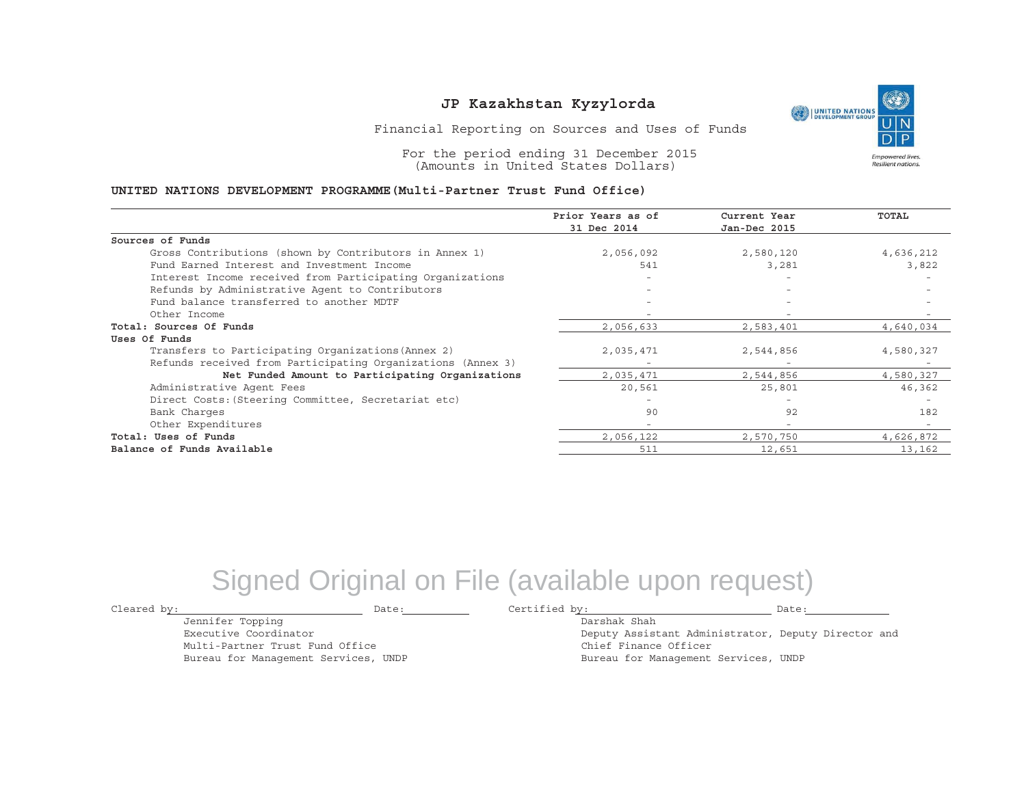

Financial Reporting on Sources and Uses of Funds

For the period ending 31 December 2015 (Amounts in United States Dollars)

#### **UNITED NATIONS DEVELOPMENT PROGRAMME(Multi-Partner Trust Fund Office)**

|                                                             | Prior Years as of | Current Year             | TOTAL     |
|-------------------------------------------------------------|-------------------|--------------------------|-----------|
|                                                             | 31 Dec 2014       | Jan-Dec 2015             |           |
| Sources of Funds                                            |                   |                          |           |
| Gross Contributions (shown by Contributors in Annex 1)      | 2,056,092         | 2,580,120                | 4,636,212 |
| Fund Earned Interest and Investment Income                  | 541               | 3,281                    | 3,822     |
| Interest Income received from Participating Organizations   |                   |                          |           |
| Refunds by Administrative Agent to Contributors             | $-$               | $\overline{\phantom{0}}$ |           |
| Fund balance transferred to another MDTF                    |                   | $\overline{\phantom{a}}$ |           |
| Other Income                                                |                   |                          |           |
| Total: Sources Of Funds                                     | 2,056,633         | 2,583,401                | 4,640,034 |
| Uses Of Funds                                               |                   |                          |           |
| Transfers to Participating Organizations (Annex 2)          | 2,035,471         | 2,544,856                | 4,580,327 |
| Refunds received from Participating Organizations (Annex 3) |                   |                          |           |
| Net Funded Amount to Participating Organizations            | 2,035,471         | 2,544,856                | 4,580,327 |
| Administrative Agent Fees                                   | 20,561            | 25,801                   | 46,362    |
| Direct Costs: (Steering Committee, Secretariat etc)         |                   |                          |           |
| Bank Charges                                                | 90                | 92                       | 182       |
| Other Expenditures                                          | $-$               | $\overline{\phantom{a}}$ |           |
| Total: Uses of Funds                                        | 2,056,122         | 2,570,750                | 4,626,872 |
| Balance of Funds Available                                  | 511               | 12,651                   | 13,162    |

## Signed Original on File (available upon request)

Cleared by: Date: Certified by: Date:

Jennifer Topping Executive Coordinator

Multi-Partner Trust Fund Office Bureau for Management Services, UNDP

Darshak ShahDeputy Assistant Administrator, Deputy Director and Chief Finance Officer Bureau for Management Services, UNDP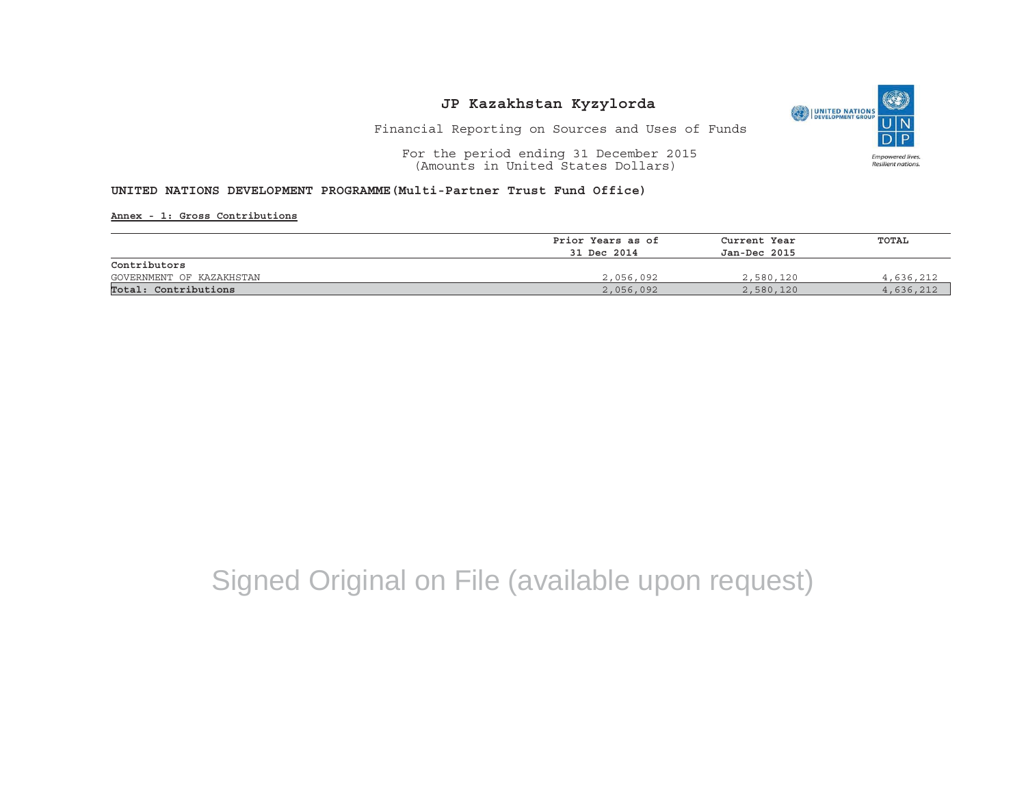

Financial Reporting on Sources and Uses of Funds

For the period ending 31 December 2015 (Amounts in United States Dollars)

#### **UNITED NATIONS DEVELOPMENT PROGRAMME(Multi-Partner Trust Fund Office)**

**Annex - 1: Gross Contributions**

|                          | Prior Years as of | Current Year<br>Jan-Dec 2015 | TOTAL     |  |
|--------------------------|-------------------|------------------------------|-----------|--|
|                          | 31 Dec 2014       |                              |           |  |
| Contributors             |                   |                              |           |  |
| GOVERNMENT OF KAZAKHSTAN | 2,056,092         | 2,580,120                    | 4,636,212 |  |
| Total: Contributions     | 2,056,092         | 2,580,120                    | 4,636,212 |  |

# Signed Original on File (available upon request)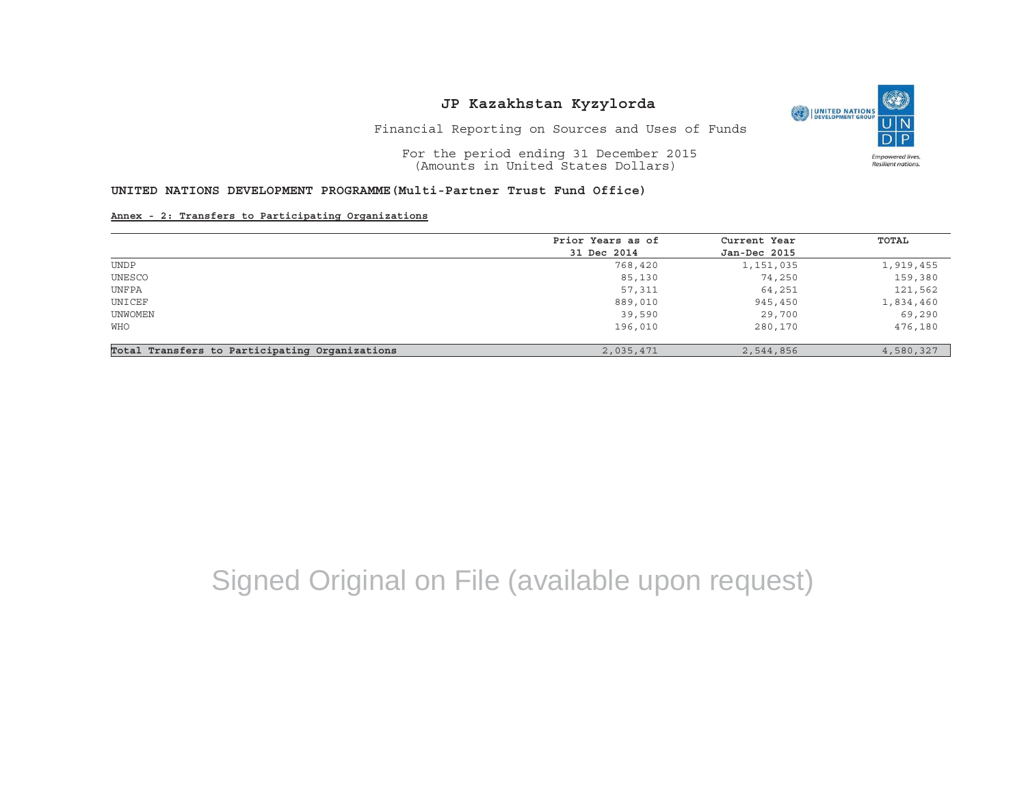O UNITED NATIONS **Empowered lives** Resilient nations.

Financial Reporting on Sources and Uses of Funds

For the period ending 31 December 2015 (Amounts in United States Dollars)

#### **UNITED NATIONS DEVELOPMENT PROGRAMME(Multi-Partner Trust Fund Office)**

**Annex - 2: Transfers to Participating Organizations**

|                                                | Prior Years as of | Current Year | TOTAL     |
|------------------------------------------------|-------------------|--------------|-----------|
|                                                | 31 Dec 2014       | Jan-Dec 2015 |           |
| <b>UNDP</b>                                    | 768,420           | 1,151,035    | 1,919,455 |
| UNESCO                                         | 85,130            | 74,250       | 159,380   |
| UNFPA                                          | 57,311            | 64,251       | 121,562   |
| UNICEF                                         | 889,010           | 945,450      | 1,834,460 |
| UNWOMEN                                        | 39,590            | 29,700       | 69,290    |
| <b>WHO</b>                                     | 196,010           | 280,170      | 476,180   |
| Total Transfers to Participating Organizations | 2,035,471         | 2,544,856    | 4,580,327 |

# Signed Original on File (available upon request)